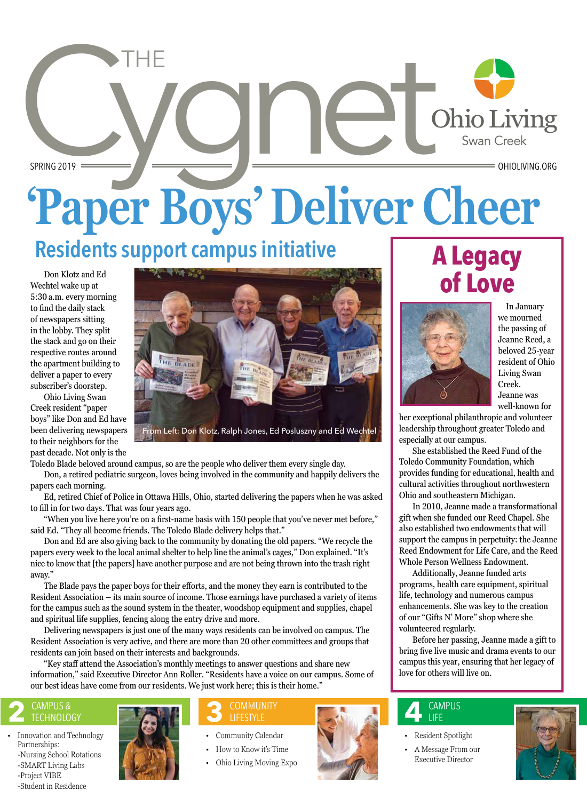# SPRING 2019 **'Paper Boys' Deliver Cheer** THE

# **Residents support campus initiative**

 Don Klotz and Ed Wechtel wake up at 5:30 a.m. every morning to find the daily stack of newspapers sitting in the lobby. They split the stack and go on their respective routes around the apartment building to deliver a paper to every subscriber's doorstep.

 Ohio Living Swan Creek resident "paper boys" like Don and Ed have been delivering newspapers to their neighbors for the past decade. Not only is the



Toledo Blade beloved around campus, so are the people who deliver them every single day.

 Don, a retired pediatric surgeon, loves being involved in the community and happily delivers the papers each morning.

 Ed, retired Chief of Police in Ottawa Hills, Ohio, started delivering the papers when he was asked to fill in for two days. That was four years ago.

 "When you live here you're on a first-name basis with 150 people that you've never met before," said Ed. "They all become friends. The Toledo Blade delivery helps that."

 Don and Ed are also giving back to the community by donating the old papers. "We recycle the papers every week to the local animal shelter to help line the animal's cages," Don explained. "It's nice to know that [the papers] have another purpose and are not being thrown into the trash right away."

 The Blade pays the paper boys for their efforts, and the money they earn is contributed to the Resident Association – its main source of income. Those earnings have purchased a variety of items for the campus such as the sound system in the theater, woodshop equipment and supplies, chapel and spiritual life supplies, fencing along the entry drive and more.

 Delivering newspapers is just one of the many ways residents can be involved on campus. The Resident Association is very active, and there are more than 20 other committees and groups that residents can join based on their interests and backgrounds.

 "Key staff attend the Association's monthly meetings to answer questions and share new information," said Executive Director Ann Roller. "Residents have a voice on our campus. Some of our best ideas have come from our residents. We just work here; this is their home."

# **2** CAMPUS &

• Innovation and Technology Partnerships: -Nursing School Rotations -SMART Living Labs -Project VIBE -Student in Residence



# LIFESTYLE

- Community Calendar
- How to Know it's Time
- Ohio Living Moving Expo

# **A Legacy of Love**



 In January we mourned the passing of Jeanne Reed, a beloved 25-year resident of Ohio Living Swan Creek. Jeanne was well-known for

her exceptional philanthropic and volunteer leadership throughout greater Toledo and especially at our campus.

 She established the Reed Fund of the Toledo Community Foundation, which provides funding for educational, health and cultural activities throughout northwestern Ohio and southeastern Michigan.

 In 2010, Jeanne made a transformational gift when she funded our Reed Chapel. She also established two endowments that will support the campus in perpetuity: the Jeanne Reed Endowment for Life Care, and the Reed Whole Person Wellness Endowment.

 Additionally, Jeanne funded arts programs, health care equipment, spiritual life, technology and numerous campus enhancements. She was key to the creation of our "Gifts N' More" shop where she volunteered regularly.

 Before her passing, Jeanne made a gift to bring five live music and drama events to our campus this year, ensuring that her legacy of love for others will live on.

#### **4** CAMPUS LIFE

- Resident Spotlight
- A Message From our Executive Director

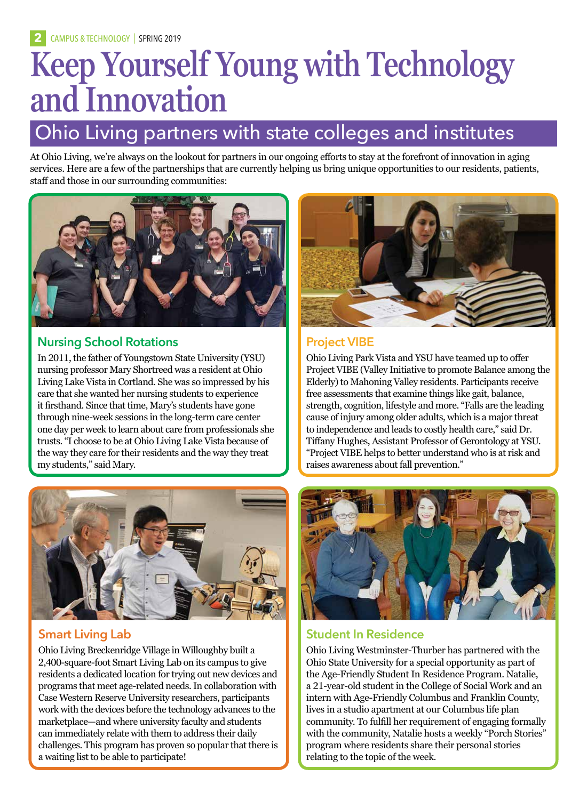# **Keep Yourself Young with Technology and Innovation**

# Ohio Living partners with state colleges and institutes

At Ohio Living, we're always on the lookout for partners in our ongoing efforts to stay at the forefront of innovation in aging services. Here are a few of the partnerships that are currently helping us bring unique opportunities to our residents, patients, staff and those in our surrounding communities:



### **Nursing School Rotations**

In 2011, the father of Youngstown State University (YSU) nursing professor Mary Shortreed was a resident at Ohio Living Lake Vista in Cortland. She was so impressed by his care that she wanted her nursing students to experience it firsthand. Since that time, Mary's students have gone through nine-week sessions in the long-term care center one day per week to learn about care from professionals she trusts. "I choose to be at Ohio Living Lake Vista because of the way they care for their residents and the way they treat my students," said Mary.



### **Smart Living Lab**

Ohio Living Breckenridge Village in Willoughby built a 2,400-square-foot Smart Living Lab on its campus to give residents a dedicated location for trying out new devices and programs that meet age-related needs. In collaboration with Case Western Reserve University researchers, participants work with the devices before the technology advances to the marketplace—and where university faculty and students can immediately relate with them to address their daily challenges. This program has proven so popular that there is a waiting list to be able to participate!



### **Project VIBE**

Ohio Living Park Vista and YSU have teamed up to offer Project VIBE (Valley Initiative to promote Balance among the Elderly) to Mahoning Valley residents. Participants receive free assessments that examine things like gait, balance, strength, cognition, lifestyle and more. "Falls are the leading cause of injury among older adults, which is a major threat to independence and leads to costly health care," said Dr. Tiffany Hughes, Assistant Professor of Gerontology at YSU. "Project VIBE helps to better understand who is at risk and raises awareness about fall prevention."



### **Student In Residence**

Ohio Living Westminster-Thurber has partnered with the Ohio State University for a special opportunity as part of the Age-Friendly Student In Residence Program. Natalie, a 21-year-old student in the College of Social Work and an intern with Age-Friendly Columbus and Franklin County, lives in a studio apartment at our Columbus life plan community. To fulfill her requirement of engaging formally with the community, Natalie hosts a weekly "Porch Stories" program where residents share their personal stories relating to the topic of the week.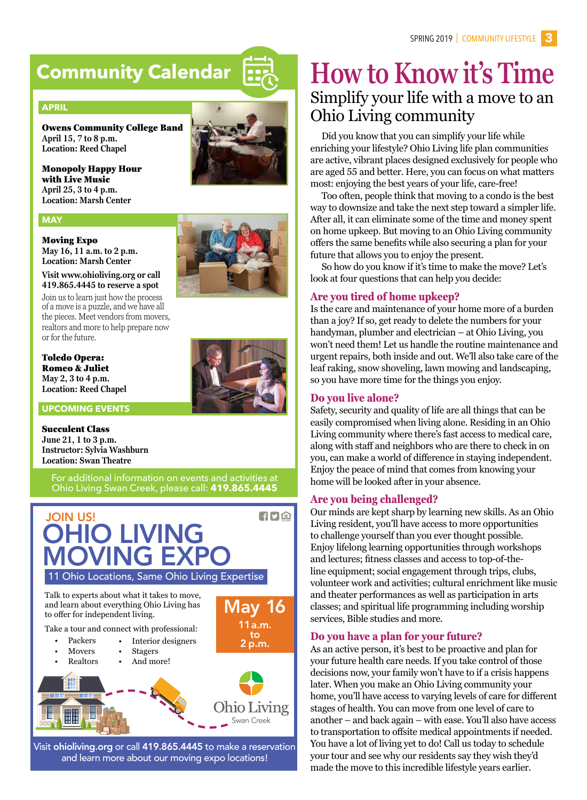## **Community Calendar**

#### **APRIL**

Owens Community College Band **April 15, 7 to 8 p.m. Location: Reed Chapel**

Monopoly Happy Hour with Live Music **April 25, 3 to 4 p.m. Location: Marsh Center**

#### **MAY**

#### Moving Expo

**May 16, 11 a.m. to 2 p.m. Location: Marsh Center**

**Visit www.ohioliving.org or call 419.865.4445 to reserve a spot** Join us to learn just how the process

of a move is a puzzle, and we have all the pieces. Meet vendors from movers, realtors and more to help prepare now or for the future.

#### Toledo Opera: Romeo & Juliet **May 2, 3 to 4 p.m. Location: Reed Chapel**

**UPCOMING EVENTS**

#### Succulent Class

**June 21, 1 to 3 p.m. Instructor: Sylvia Washburn Location: Swan Theatre**

For additional information on events and activities at Ohio Living Swan Creek, please call: **419.865.4445**



### **How to Know it's Time** Simplify your life with a move to an Ohio Living community

Did you know that you can simplify your life while enriching your lifestyle? Ohio Living life plan communities are active, vibrant places designed exclusively for people who are aged 55 and better. Here, you can focus on what matters most: enjoying the best years of your life, care-free!

Too often, people think that moving to a condo is the best way to downsize and take the next step toward a simpler life. After all, it can eliminate some of the time and money spent on home upkeep. But moving to an Ohio Living community offers the same benefits while also securing a plan for your future that allows you to enjoy the present.

So how do you know if it's time to make the move? Let's look at four questions that can help you decide:

#### **Are you tired of home upkeep?**

Is the care and maintenance of your home more of a burden than a joy? If so, get ready to delete the numbers for your handyman, plumber and electrician – at Ohio Living, you won't need them! Let us handle the routine maintenance and urgent repairs, both inside and out. We'll also take care of the leaf raking, snow shoveling, lawn mowing and landscaping, so you have more time for the things you enjoy.

#### **Do you live alone?**

Safety, security and quality of life are all things that can be easily compromised when living alone. Residing in an Ohio Living community where there's fast access to medical care, along with staff and neighbors who are there to check in on you, can make a world of difference in staying independent. Enjoy the peace of mind that comes from knowing your home will be looked after in your absence.

#### **Are you being challenged?**

Our minds are kept sharp by learning new skills. As an Ohio Living resident, you'll have access to more opportunities to challenge yourself than you ever thought possible. Enjoy lifelong learning opportunities through workshops and lectures; fitness classes and access to top-of-theline equipment; social engagement through trips, clubs, volunteer work and activities; cultural enrichment like music and theater performances as well as participation in arts classes; and spiritual life programming including worship services, Bible studies and more.

#### **Do you have a plan for your future?**

As an active person, it's best to be proactive and plan for your future health care needs. If you take control of those decisions now, your family won't have to if a crisis happens later. When you make an Ohio Living community your home, you'll have access to varying levels of care for different stages of health. You can move from one level of care to another – and back again – with ease. You'll also have access to transportation to offsite medical appointments if needed. You have a lot of living yet to do! Call us today to schedule your tour and see why our residents say they wish they'd made the move to this incredible lifestyle years earlier.